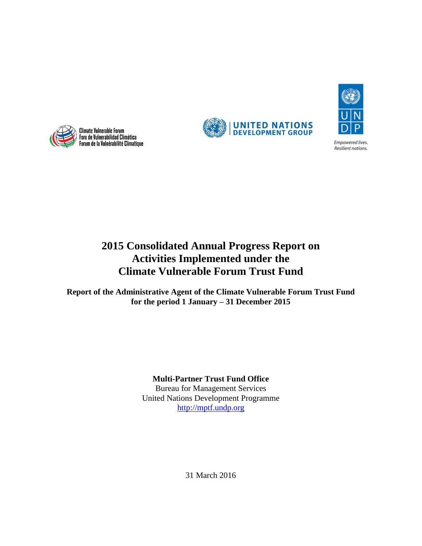





Empowered lives. Resilient nations.

# **2015 Consolidated Annual Progress Report on Activities Implemented under the Climate Vulnerable Forum Trust Fund**

**Report of the Administrative Agent of the Climate Vulnerable Forum Trust Fund for the period 1 January – 31 December 2015**

# **Multi-Partner Trust Fund Office**

Bureau for Management Services United Nations Development Programme [http://mptf.undp.org](http://mptf.undp.org/)

31 March 2016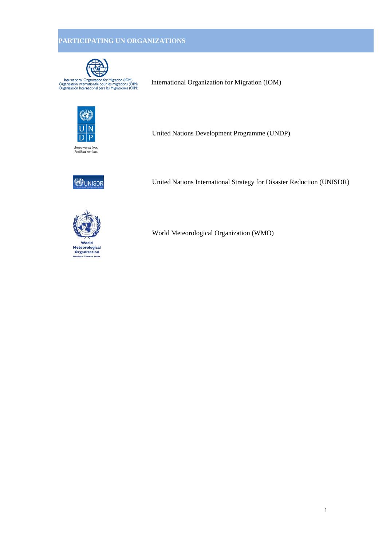# **PARTICIPATING UN ORGANIZATIONS**





United Nations Development Programme (UNDP)



United Nations International Strategy for Disaster Reduction (UNISDR)



World Meteorological Organization (WMO)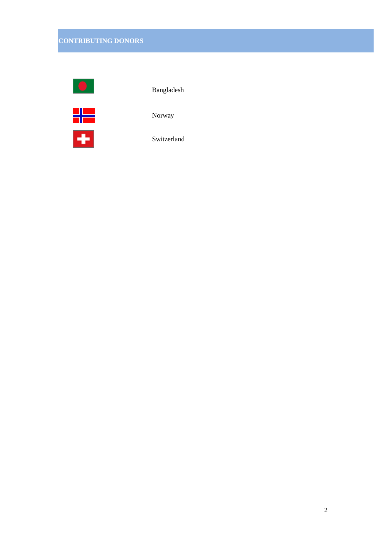# **CONTRIBUTING DONORS**



Bangladesh



Norway

Switzerland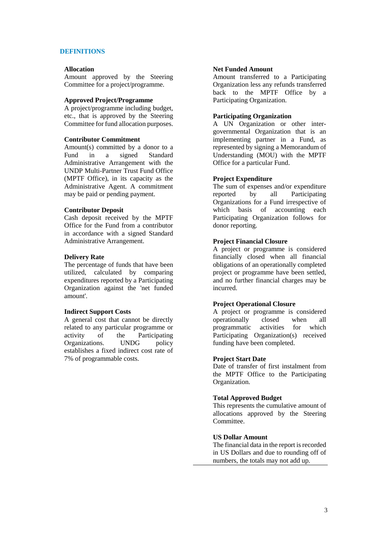## **DEFINITIONS**

#### **Allocation**

Amount approved by the Steering Committee for a project/programme.

#### **Approved Project/Programme**

A project/programme including budget, etc., that is approved by the Steering Committee for fund allocation purposes.

#### **Contributor Commitment**

Amount(s) committed by a donor to a Fund in a signed Standard Administrative Arrangement with the UNDP Multi-Partner Trust Fund Office (MPTF Office), in its capacity as the Administrative Agent. A commitment may be paid or pending payment.

### **Contributor Deposit**

Cash deposit received by the MPTF Office for the Fund from a contributor in accordance with a signed Standard Administrative Arrangement.

#### **Delivery Rate**

The percentage of funds that have been utilized, calculated by comparing expenditures reported by a Participating Organization against the 'net funded amount'.

#### **Indirect Support Costs**

A general cost that cannot be directly related to any particular programme or activity of the Participating Organizations. UNDG policy establishes a fixed indirect cost rate of 7% of programmable costs.

## **Net Funded Amount**

Amount transferred to a Participating Organization less any refunds transferred back to the MPTF Office by a Participating Organization.

#### **Participating Organization**

A UN Organization or other intergovernmental Organization that is an implementing partner in a Fund, as represented by signing a Memorandum of Understanding (MOU) with the MPTF Office for a particular Fund.

#### **Project Expenditure**

The sum of expenses and/or expenditure reported by all Participating Organizations for a Fund irrespective of which basis of accounting each Participating Organization follows for donor reporting.

#### **Project Financial Closure**

A project or programme is considered financially closed when all financial obligations of an operationally completed project or programme have been settled, and no further financial charges may be incurred.

#### **Project Operational Closure**

A project or programme is considered operationally closed when all programmatic activities for which Participating Organization(s) received funding have been completed.

#### **Project Start Date**

Date of transfer of first instalment from the MPTF Office to the Participating Organization.

#### **Total Approved Budget**

This represents the cumulative amount of allocations approved by the Steering Committee.

## **US Dollar Amount**

The financial data in the report is recorded in US Dollars and due to rounding off of numbers, the totals may not add up.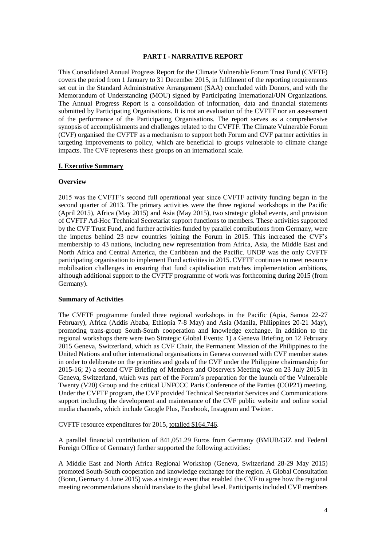#### **PART I - NARRATIVE REPORT**

This Consolidated Annual Progress Report for the Climate Vulnerable Forum Trust Fund (CVFTF) covers the period from 1 January to 31 December 2015, in fulfilment of the reporting requirements set out in the Standard Administrative Arrangement (SAA) concluded with Donors, and with the Memorandum of Understanding (MOU) signed by Participating International/UN Organizations. The Annual Progress Report is a consolidation of information, data and financial statements submitted by Participating Organisations. It is not an evaluation of the CVFTF nor an assessment of the performance of the Participating Organisations. The report serves as a comprehensive synopsis of accomplishments and challenges related to the CVFTF. The Climate Vulnerable Forum (CVF) organised the CVFTF as a mechanism to support both Forum and CVF partner activities in targeting improvements to policy, which are beneficial to groups vulnerable to climate change impacts. The CVF represents these groups on an international scale.

#### **I. Executive Summary**

#### **Overview**

2015 was the CVFTF's second full operational year since CVFTF activity funding began in the second quarter of 2013. The primary activities were the three regional workshops in the Pacific (April 2015), Africa (May 2015) and Asia (May 2015), two strategic global events, and provision of CVFTF Ad-Hoc Technical Secretariat support functions to members. These activities supported by the CVF Trust Fund, and further activities funded by parallel contributions from Germany, were the impetus behind 23 new countries joining the Forum in 2015. This increased the CVF's membership to 43 nations, including new representation from Africa, Asia, the Middle East and North Africa and Central America, the Caribbean and the Pacific. UNDP was the only CVFTF participating organisation to implement Fund activities in 2015. CVFTF continues to meet resource mobilisation challenges in ensuring that fund capitalisation matches implementation ambitions, although additional support to the CVFTF programme of work was forthcoming during 2015 (from Germany).

#### **Summary of Activities**

The CVFTF programme funded three regional workshops in the Pacific (Apia, Samoa 22-27 February), Africa (Addis Ababa, Ethiopia 7-8 May) and Asia (Manila, Philippines 20-21 May), promoting trans-group South-South cooperation and knowledge exchange. In addition to the regional workshops there were two Strategic Global Events: 1) a Geneva Briefing on 12 February 2015 Geneva, Switzerland, which as CVF Chair, the Permanent Mission of the Philippines to the United Nations and other international organisations in Geneva convened with CVF member states in order to deliberate on the priorities and goals of the CVF under the Philippine chairmanship for 2015-16; 2) a second CVF Briefing of Members and Observers Meeting was on 23 July 2015 in Geneva, Switzerland, which was part of the Forum's preparation for the launch of the Vulnerable Twenty (V20) Group and the critical UNFCCC Paris Conference of the Parties (COP21) meeting. Under the CVFTF program, the CVF provided Technical Secretariat Services and Communications support including the development and maintenance of the CVF public website and online social media channels, which include Google Plus, Facebook, Instagram and Twitter.

CVFTF resource expenditures for 2015, totalled \$164,746.

A parallel financial contribution of 841,051.29 Euros from Germany (BMUB/GIZ and Federal Foreign Office of Germany) further supported the following activities:

A Middle East and North Africa Regional Workshop (Geneva, Switzerland 28-29 May 2015) promoted South-South cooperation and knowledge exchange for the region. A Global Consultation (Bonn, Germany 4 June 2015) was a strategic event that enabled the CVF to agree how the regional meeting recommendations should translate to the global level. Participants included CVF members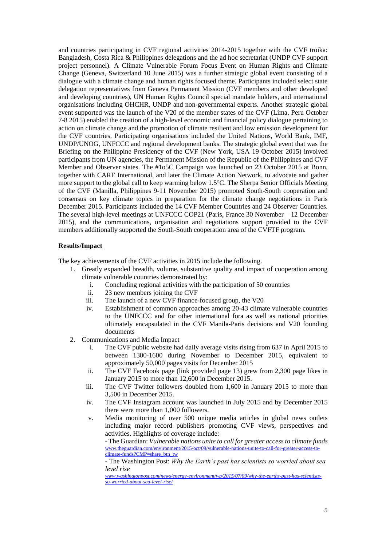and countries participating in CVF regional activities 2014-2015 together with the CVF troika: Bangladesh, Costa Rica & Philippines delegations and the ad hoc secretariat (UNDP CVF support project personnel). A Climate Vulnerable Forum Focus Event on Human Rights and Climate Change (Geneva, Switzerland 10 June 2015) was a further strategic global event consisting of a dialogue with a climate change and human rights focused theme. Participants included select state delegation representatives from Geneva Permanent Mission (CVF members and other developed and developing countries), UN Human Rights Council special mandate holders, and international organisations including OHCHR, UNDP and non-governmental experts. Another strategic global event supported was the launch of the V20 of the member states of the CVF (Lima, Peru October 7-8 2015) enabled the creation of a high-level economic and financial policy dialogue pertaining to action on climate change and the promotion of climate resilient and low emission development for the CVF countries. Participating organisations included the United Nations, World Bank, IMF, UNDP/UNOG, UNFCCC and regional development banks. The strategic global event that was the Briefing on the Philippine Presidency of the CVF (New York, USA 19 October 2015) involved participants from UN agencies, the Permanent Mission of the Republic of the Philippines and CVF Member and Observer states. The #1o5C Campaign was launched on 23 October 2015 at Bonn, together with CARE International, and later the Climate Action Network, to advocate and gather more support to the global call to keep warming below 1.5°C. The Sherpa Senior Officials Meeting of the CVF (Manilla, Philippines 9-11 November 2015) promoted South-South cooperation and consensus on key climate topics in preparation for the climate change negotiations in Paris December 2015. Participants included the 14 CVF Member Countries and 24 Observer Countries. The several high-level meetings at UNFCCC COP21 (Paris, France 30 November – 12 December 2015), and the communications, organisation and negotiations support provided to the CVF members additionally supported the South-South cooperation area of the CVFTF program.

## **Results/Impact**

The key achievements of the CVF activities in 2015 include the following.

- 1. Greatly expanded breadth, volume, substantive quality and impact of cooperation among climate vulnerable countries demonstrated by:
	- i. Concluding regional activities with the participation of 50 countries
	- ii. 23 new members joining the CVF
	- iii. The launch of a new CVF finance-focused group, the V20
	- iv. Establishment of common approaches among 20-43 climate vulnerable countries to the UNFCCC and for other international fora as well as national priorities ultimately encapsulated in the CVF Manila-Paris decisions and V20 founding documents
- 2. Communications and Media Impact
	- i. The CVF public website had daily average visits rising from 637 in April 2015 to between 1300-1600 during November to December 2015, equivalent to approximately 50,000 pages visits for December 2015
	- ii. The CVF Facebook page (link provided page 13) grew from 2,300 page likes in January 2015 to more than 12,600 in December 2015.
	- iii. The CVF Twitter followers doubled from 1,600 in January 2015 to more than 3,500 in December 2015.
	- iv. The CVF Instagram account was launched in July 2015 and by December 2015 there were more than 1,000 followers.
	- v. Media monitoring of over 500 unique media articles in global news outlets including major record publishers promoting CVF views, perspectives and activities. Highlights of coverage include:

- The Guardian: *Vulnerable nations unite to call for greater access to climate funds* [www.theguardian.com/environment/2015/oct/09/vulnerable-nations-unite-to-call-for-greater-access-to](http://www.theguardian.com/environment/2015/oct/09/vulnerable-nations-unite-to-call-for-greater-access-to-climate-funds?CMP=share_btn_tw)[climate-funds?CMP=share\\_btn\\_tw](http://www.theguardian.com/environment/2015/oct/09/vulnerable-nations-unite-to-call-for-greater-access-to-climate-funds?CMP=share_btn_tw)

<sup>-</sup> The Washington Post: *Why the Earth's past has scientists so worried about sea level rise*

*[www.washingtonpost.com/news/energy-environment/wp/2015/07/09/why-the-earths-past-has-scientists](https://www.washingtonpost.com/news/energy-environment/wp/2015/07/09/why-the-earths-past-has-scientists-so-worried-about-sea-level-rise/)[so-worried-about-sea-level-rise/](https://www.washingtonpost.com/news/energy-environment/wp/2015/07/09/why-the-earths-past-has-scientists-so-worried-about-sea-level-rise/)*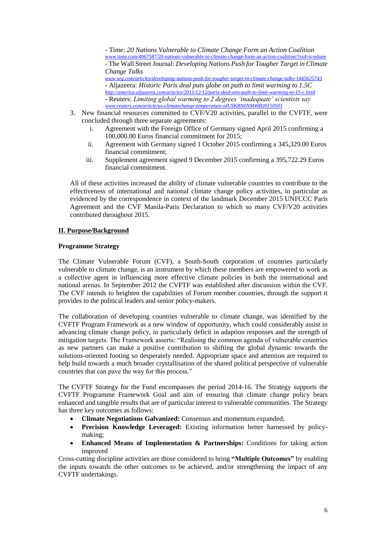- Time: *20 Nations Vulnerable to Climate Change Form an Action Coalition* [www.time.com/4067587/20-nations-vulnerable-to-climate-change-form-an-action-coalition/?xid=tcoshare](http://www.time.com/4067587/20-nations-vulnerable-to-climate-change-form-an-action-coalition/?xid=tcoshare)

- The Wall Street Journal: *Developing Nations Push for Tougher Target in Climate Change Talks*

*[www.wsj.com/articles/developing-nations-push-for-tougher-target-in-climate-change-talks-1445625743](http://www.wsj.com/articles/developing-nations-push-for-tougher-target-in-climate-change-talks-1445625743)*

- Aljazeera: *Historic Paris deal puts globe on path to limit warming to 1.5C <http://america.aljazeera.com/articles/2015/12/12/paris-deal-sets-path-to-limit-warming-to-15-c.html>*

- Reuters: *Limiting global warming to 2 degrees 'inadequate' scientists say [www.reuters.com/article/us-climatechange-temperature-idUSKBN0NM40820150501](http://www.reuters.com/article/us-climatechange-temperature-idUSKBN0NM40820150501)*

- 3. New financial resources committed to CVF/V20 activities, parallel to the CVFTF, were concluded through three separate agreements:
	- i. Agreement with the Foreign Office of Germany signed April 2015 confirming a 100,000.00 Euros financial commitment for 2015;
	- ii. Agreement with Germany signed 1 October 2015 confirming a 345,329.00 Euros financial commitment;
	- iii. Supplement agreement signed 9 December 2015 confirming a 395,722.29 Euros financial commitment.

All of these activities increased the ability of climate vulnerable countries to contribute to the effectiveness of international and national climate change policy activities, in particular as evidenced by the correspondence in context of the landmark December 2015 UNFCCC Paris Agreement and the CVF Manila-Paris Declaration to which so many CVF/V20 activities contributed throughout 2015.

# **II. Purpose/Background**

## **Programme Strategy**

The Climate Vulnerable Forum (CVF), a South-South corporation of countries particularly vulnerable to climate change, is an instrument by which these members are empowered to work as a collective agent in influencing more effective climate policies in both the international and national arenas. In September 2012 the CVFTF was established after discussion within the CVF. The CVF intends to heighten the capabilities of Forum member countries, through the support it provides to the political leaders and senior policy-makers.

The collaboration of developing countries vulnerable to climate change, was identified by the CVFTF Program Framework as a new window of opportunity, which could considerably assist in advancing climate change policy, in particularly deficit in adaption responses and the strength of mitigation targets. The Framework asserts: "Realising the common agenda of vulnerable countries as new partners can make a positive contribution to shifting the global dynamic towards the solutions-oriented footing so desperately needed. Appropriate space and attention are required to help build towards a much broader crystallisation of the shared political perspective of vulnerable countries that can pave the way for this process."

The CVFTF Strategy for the Fund encompasses the period 2014-16. The Strategy supports the CVFTF Programme Framework Goal and aim of ensuring that climate change policy bears enhanced and tangible results that are of particular interest to vulnerable communities. The Strategy has three key outcomes as follows:

- **Climate Negotiations Galvanized:** Consensus and momentum expanded;
- **Precision Knowledge Leveraged:** Existing information better harnessed by policymaking;
- **Enhanced Means of Implementation & Partnerships:** Conditions for taking action improved

Cross-cutting discipline activities are those considered to bring **"Multiple Outcomes"** by enabling the inputs towards the other outcomes to be achieved, and/or strengthening the impact of any CVFTF undertakings.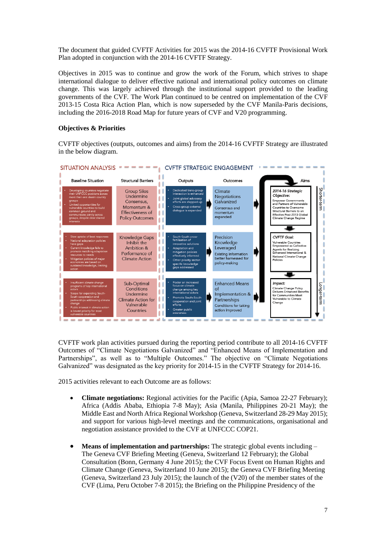The document that guided CVFTF Activities for 2015 was the 2014-16 CVFTF Provisional Work Plan adopted in conjunction with the 2014-16 CVFTF Strategy.

Objectives in 2015 was to continue and grow the work of the Forum, which strives to shape international dialogue to deliver effective national and international policy outcomes on climate change. This was largely achieved through the institutional support provided to the leading governments of the CVF. The Work Plan continued to be centred on implementation of the CVF 2013-15 Costa Rica Action Plan, which is now superseded by the CVF Manila-Paris decisions, including the 2016-2018 Road Map for future years of CVF and V20 programming.

# **Objectives & Priorities**

CVFTF objectives (outputs, outcomes and aims) from the 2014-16 CVFTF Strategy are illustrated in the below diagram.



CVFTF work plan activities pursued during the reporting period contribute to all 2014-16 CVFTF Outcomes of "Climate Negotiations Galvanized" and "Enhanced Means of Implementation and Partnerships", as well as to "Multiple Outcomes." The objective on "Climate Negotiations Galvanized" was designated as the key priority for 2014-15 in the CVFTF Strategy for 2014-16.

2015 activities relevant to each Outcome are as follows:

- **Climate negotiations:** Regional activities for the Pacific (Apia, Samoa 22-27 February); Africa (Addis Ababa, Ethiopia 7-8 May); Asia (Manila, Philippines 20-21 May); the Middle East and North Africa Regional Workshop (Geneva, Switzerland 28-29 May 2015); and support for various high-level meetings and the communications, organisational and negotiation assistance provided to the CVF at UNFCCC COP21.
- **Means of implementation and partnerships:** The strategic global events including The Geneva CVF Briefing Meeting (Geneva, Switzerland 12 February); the Global Consultation (Bonn, Germany 4 June 2015); the CVF Focus Event on Human Rights and Climate Change (Geneva, Switzerland 10 June 2015); the Geneva CVF Briefing Meeting (Geneva, Switzerland 23 July 2015); the launch of the (V20) of the member states of the CVF (Lima, Peru October 7-8 2015); the Briefing on the Philippine Presidency of the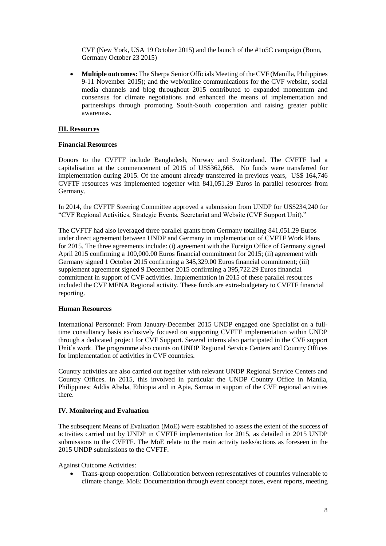CVF (New York, USA 19 October 2015) and the launch of the #1o5C campaign (Bonn, Germany October 23 2015)

 **Multiple outcomes:** The Sherpa Senior Officials Meeting of the CVF (Manilla, Philippines 9-11 November 2015); and the web/online communications for the CVF website, social media channels and blog throughout 2015 contributed to expanded momentum and consensus for climate negotiations and enhanced the means of implementation and partnerships through promoting South-South cooperation and raising greater public awareness.

## **III. Resources**

#### **Financial Resources**

Donors to the CVFTF include Bangladesh, Norway and Switzerland. The CVFTF had a capitalisation at the commencement of 2015 of US\$362,668. No funds were transferred for implementation during 2015. Of the amount already transferred in previous years, US\$ 164,746 CVFTF resources was implemented together with 841,051.29 Euros in parallel resources from Germany.

In 2014, the CVFTF Steering Committee approved a submission from UNDP for US\$234,240 for "CVF Regional Activities, Strategic Events, Secretariat and Website (CVF Support Unit)."

The CVFTF had also leveraged three parallel grants from Germany totalling 841,051.29 Euros under direct agreement between UNDP and Germany in implementation of CVFTF Work Plans for 2015. The three agreements include: (i) agreement with the Foreign Office of Germany signed April 2015 confirming a 100,000.00 Euros financial commitment for 2015; (ii) agreement with Germany signed 1 October 2015 confirming a 345,329.00 Euros financial commitment; (iii) supplement agreement signed 9 December 2015 confirming a 395,722.29 Euros financial commitment in support of CVF activities. Implementation in 2015 of these parallel resources included the CVF MENA Regional activity. These funds are extra-budgetary to CVFTF financial reporting.

#### **Human Resources**

International Personnel: From January-December 2015 UNDP engaged one Specialist on a fulltime consultancy basis exclusively focused on supporting CVFTF implementation within UNDP through a dedicated project for CVF Support. Several interns also participated in the CVF support Unit's work. The programme also counts on UNDP Regional Service Centers and Country Offices for implementation of activities in CVF countries.

Country activities are also carried out together with relevant UNDP Regional Service Centers and Country Offices. In 2015, this involved in particular the UNDP Country Office in Manila, Philippines; Addis Ababa, Ethiopia and in Apia, Samoa in support of the CVF regional activities there.

#### **IV. Monitoring and Evaluation**

The subsequent Means of Evaluation (MoE) were established to assess the extent of the success of activities carried out by UNDP in CVFTF implementation for 2015, as detailed in 2015 UNDP submissions to the CVFTF. The MoE relate to the main activity tasks/actions as foreseen in the 2015 UNDP submissions to the CVFTF.

Against Outcome Activities:

 Trans-group cooperation: Collaboration between representatives of countries vulnerable to climate change. MoE: Documentation through event concept notes, event reports, meeting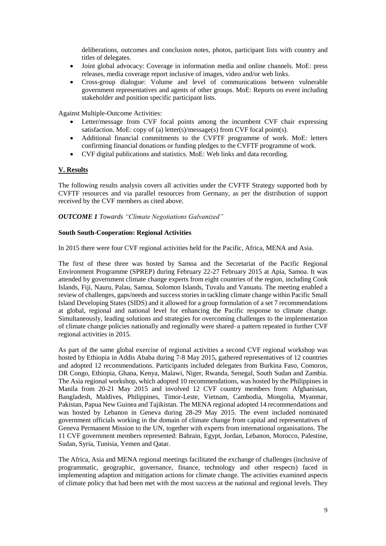deliberations, outcomes and conclusion notes, photos, participant lists with country and titles of delegates.

- Joint global advocacy: Coverage in information media and online channels. MoE: press releases, media coverage report inclusive of images, video and/or web links.
- Cross-group dialogue: Volume and level of communications between vulnerable government representatives and agents of other groups. MoE: Reports on event including stakeholder and position specific participant lists.

Against Multiple-Outcome Activities:

- Letter/message from CVF focal points among the incumbent CVF chair expressing satisfaction. MoE: copy of (a) letter(s)/message(s) from CVF focal point(s).
- Additional financial commitments to the CVFTF programme of work. MoE: letters confirming financial donations or funding pledges to the CVFTF programme of work.
- CVF digital publications and statistics. MoE: Web links and data recording.

## **V. Results**

The following results analysis covers all activities under the CVFTF Strategy supported both by CVFTF resources and via parallel resources from Germany, as per the distribution of support received by the CVF members as cited above.

#### *OUTCOME 1 Towards "Climate Negotiations Galvanized"*

#### **South South-Cooperation: Regional Activities**

In 2015 there were four CVF regional activities held for the Pacific, Africa, MENA and Asia.

The first of these three was hosted by Samoa and the Secretariat of the Pacific Regional Environment Programme (SPREP) during February 22-27 February 2015 at Apia, Samoa. It was attended by government climate change experts from eight countries of the region, including Cook Islands, Fiji, Nauru, Palau, Samoa, Solomon Islands, Tuvalu and Vanuatu. The meeting enabled a review of challenges, gaps/needs and success stories in tackling climate change within Pacific Small Island Developing States (SIDS) and it allowed for a group formulation of a set 7 recommendations at global, regional and national level for enhancing the Pacific response to climate change. Simultaneously, leading solutions and strategies for overcoming challenges to the implementation of climate change policies nationally and regionally were shared–a pattern repeated in further CVF regional activities in 2015.

As part of the same global exercise of regional activities a second CVF regional workshop was hosted by Ethiopia in Addis Ababa during 7-8 May 2015, gathered representatives of 12 countries and adopted 12 recommendations. Participants included delegates from Burkina Faso, Comoros, DR Congo, Ethiopia, Ghana, Kenya, Malawi, Niger, Rwanda, Senegal, South Sudan and Zambia. The Asia regional workshop, which adopted 10 recommendations, was hosted by the Philippines in Manila from 20-21 May 2015 and involved 12 CVF country members from: Afghanistan, Bangladesh, Maldives, Philippines, Timor-Leste, Vietnam, Cambodia, Mongolia, Myanmar, Pakistan, Papua New Guinea and Tajikistan. The MENA regional adopted 14 recommendations and was hosted by Lebanon in Geneva during 28-29 May 2015. The event included nominated government officials working in the domain of climate change from capital and representatives of Geneva Permanent Mission to the UN, together with experts from international organisations. The 11 CVF government members represented: Bahrain, Egypt, Jordan, Lebanon, Morocco, Palestine, Sudan, Syria, Tunisia, Yemen and Qatar.

The Africa, Asia and MENA regional meetings facilitated the exchange of challenges (inclusive of programmatic, geographic, governance, finance, technology and other respects) faced in implementing adaption and mitigation actions for climate change. The activities examined aspects of climate policy that had been met with the most success at the national and regional levels. They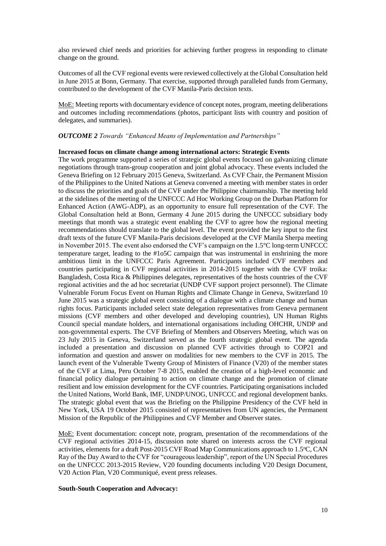also reviewed chief needs and priorities for achieving further progress in responding to climate change on the ground.

Outcomes of all the CVF regional events were reviewed collectively at the Global Consultation held in June 2015 at Bonn, Germany. That exercise, supported through paralleled funds from Germany, contributed to the development of the CVF Manila-Paris decision texts.

MoE: Meeting reports with documentary evidence of concept notes, program, meeting deliberations and outcomes including recommendations (photos, participant lists with country and position of delegates, and summaries).

#### *OUTCOME 2 Towards "Enhanced Means of Implementation and Partnerships"*

#### **Increased focus on climate change among international actors: Strategic Events**

The work programme supported a series of strategic global events focused on galvanizing climate negotiations through trans-group cooperation and joint global advocacy. These events included the Geneva Briefing on 12 February 2015 Geneva, Switzerland. As CVF Chair, the Permanent Mission of the Philippines to the United Nations at Geneva convened a meeting with member states in order to discuss the priorities and goals of the CVF under the Philippine chairmanship. The meeting held at the sidelines of the meeting of the UNFCCC Ad Hoc Working Group on the Durban Platform for Enhanced Action (AWG-ADP), as an opportunity to ensure full representation of the CVF. The Global Consultation held at Bonn, Germany 4 June 2015 during the UNFCCC subsidiary body meetings that month was a strategic event enabling the CVF to agree how the regional meeting recommendations should translate to the global level. The event provided the key input to the first draft texts of the future CVF Manila-Paris decisions developed at the CVF Manila Sherpa meeting in November 2015. The event also endorsed the CVF's campaign on the 1.5°C long-term UNFCCC temperature target, leading to the #1o5C campaign that was instrumental in enshrining the more ambitious limit in the UNFCCC Paris Agreement. Participants included CVF members and countries participating in CVF regional activities in 2014-2015 together with the CVF troika: Bangladesh, Costa Rica & Philippines delegates, representatives of the hosts countries of the CVF regional activities and the ad hoc secretariat (UNDP CVF support project personnel). The Climate Vulnerable Forum Focus Event on Human Rights and Climate Change in Geneva, Switzerland 10 June 2015 was a strategic global event consisting of a dialogue with a climate change and human rights focus. Participants included select state delegation representatives from Geneva permanent missions (CVF members and other developed and developing countries), UN Human Rights Council special mandate holders, and international organisations including OHCHR, UNDP and non-governmental experts. The CVF Briefing of Members and Observers Meeting, which was on 23 July 2015 in Geneva, Switzerland served as the fourth strategic global event. The agenda included a presentation and discussion on planned CVF activities through to COP21 and information and question and answer on modalities for new members to the CVF in 2015. The launch event of the Vulnerable Twenty Group of Ministers of Finance (V20) of the member states of the CVF at Lima, Peru October 7-8 2015, enabled the creation of a high-level economic and financial policy dialogue pertaining to action on climate change and the promotion of climate resilient and low emission development for the CVF countries. Participating organisations included the United Nations, World Bank, IMF, UNDP/UNOG, UNFCCC and regional development banks. The strategic global event that was the Briefing on the Philippine Presidency of the CVF held in New York, USA 19 October 2015 consisted of representatives from UN agencies, the Permanent Mission of the Republic of the Philippines and CVF Member and Observer states.

MoE: Event documentation: concept note, program, presentation of the recommendations of the CVF regional activities 2014-15, discussion note shared on interests across the CVF regional activities, elements for a draft Post-2015 CVF Road Map Communications approach to 1.5<sup>o</sup>C, CAN Ray of the Day Award to the CVF for "courageous leadership", report of the UN Special Procedures on the UNFCCC 2013-2015 Review, V20 founding documents including V20 Design Document, V20 Action Plan, V20 Communiqué, event press releases.

#### **South-South Cooperation and Advocacy:**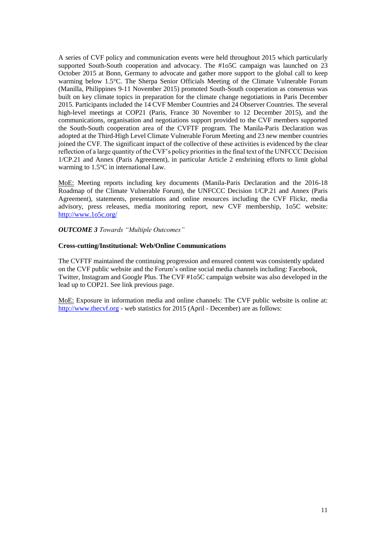A series of CVF policy and communication events were held throughout 2015 which particularly supported South-South cooperation and advocacy. The #1o5C campaign was launched on 23 October 2015 at Bonn, Germany to advocate and gather more support to the global call to keep warming below 1.5°C. The Sherpa Senior Officials Meeting of the Climate Vulnerable Forum (Manilla, Philippines 9-11 November 2015) promoted South-South cooperation as consensus was built on key climate topics in preparation for the climate change negotiations in Paris December 2015. Participants included the 14 CVF Member Countries and 24 Observer Countries. The several high-level meetings at COP21 (Paris, France 30 November to 12 December 2015), and the communications, organisation and negotiations support provided to the CVF members supported the South-South cooperation area of the CVFTF program. The Manila-Paris Declaration was adopted at the Third-High Level Climate Vulnerable Forum Meeting and 23 new member countries joined the CVF. The significant impact of the collective of these activities is evidenced by the clear reflection of a large quantity of the CVF's policy priorities in the final text of the UNFCCC Decision 1/CP.21 and Annex (Paris Agreement), in particular Article 2 enshrining efforts to limit global warming to 1.5°C in international Law.

MoE: Meeting reports including key documents (Manila-Paris Declaration and the 2016-18 Roadmap of the Climate Vulnerable Forum), the UNFCCC Decision 1/CP.21 and Annex (Paris Agreement), statements, presentations and online resources including the CVF Flickr, media advisory, press releases, media monitoring report, new CVF membership, 1o5C website: <http://www.1o5c.org/>

*OUTCOME 3 Towards "Multiple Outcomes"*

#### **Cross-cutting/Institutional: Web/Online Communications**

The CVFTF maintained the continuing progression and ensured content was consistently updated on the CVF public website and the Forum's online social media channels including: Facebook, Twitter, Instagram and Google Plus. The CVF #1o5C campaign website was also developed in the lead up to COP21. See link previous page.

MoE: Exposure in information media and online channels: The CVF public website is online at: [http://www.thecvf.org](http://www.thecvf.org/) - web statistics for 2015 (April - December) are as follows: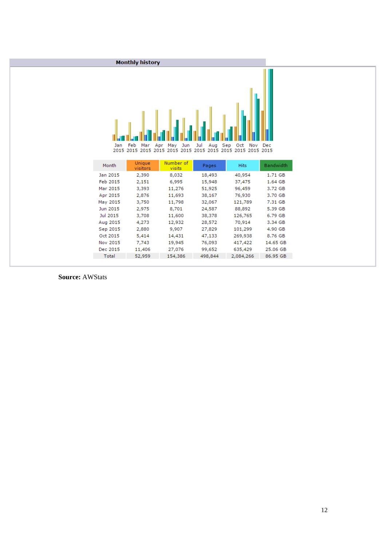

**Source:** AWStats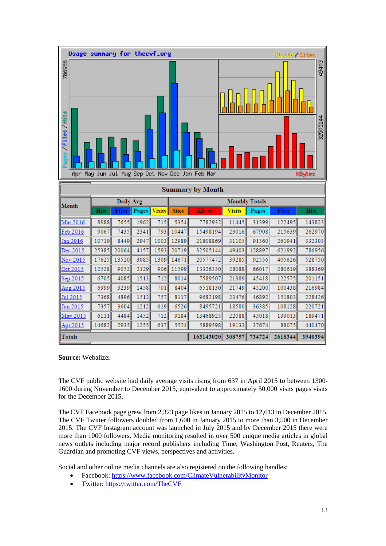

#### **Source:** Webalizer

The CVF public website had daily average visits rising from 637 in April 2015 to between 1300- 1600 during November to December 2015, equivalent to approximately 50,000 visits pages visits for the December 2015.

The CVF Facebook page grew from 2,323 page likes in January 2015 to 12,613 in December 2015. The CVF Twitter followers doubled from 1,600 in January 2015 to more than 3,500 in December 2015. The CVF Instagram account was launched in July 2015 and by December 2015 there were more than 1000 followers. Media monitoring resulted in over 500 unique media articles in global news outlets including major record publishers including Time, Washington Post, Reuters, The Guardian and promoting CVF views, perspectives and activities.

Social and other online media channels are also registered on the following handles:

- Facebook:<https://www.facebook.com/ClimateVulnerabilityMonitor>
- Twitter:<https://twitter.com/TheCVF>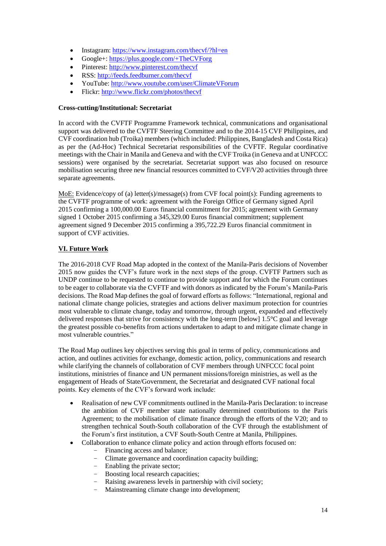- Instagram:<https://www.instagram.com/thecvf/?hl=en>
- Google+:<https://plus.google.com/+TheCVForg>
- Pinterest:<http://www.pinterest.com/thecvf>
- RSS:<http://feeds.feedburner.com/thecvf>
- YouTube:<http://www.youtube.com/user/ClimateVForum>
- Flickr:<http://www.flickr.com/photos/thecvf>

# **Cross-cutting/Institutional: Secretariat**

In accord with the CVFTF Programme Framework technical, communications and organisational support was delivered to the CVFTF Steering Committee and to the 2014-15 CVF Philippines, and CVF coordination hub (Troika) members (which included: Philippines, Bangladesh and Costa Rica) as per the (Ad-Hoc) Technical Secretariat responsibilities of the CVFTF. Regular coordinative meetings with the Chair in Manila and Geneva and with the CVF Troika (in Geneva and at UNFCCC sessions) were organised by the secretariat. Secretariat support was also focused on resource mobilisation securing three new financial resources committed to CVF/V20 activities through three separate agreements.

MoE: Evidence/copy of (a) letter(s)/message(s) from CVF focal point(s): Funding agreements to the CVFTF programme of work: agreement with the Foreign Office of Germany signed April 2015 confirming a 100,000.00 Euros financial commitment for 2015; agreement with Germany signed 1 October 2015 confirming a 345,329.00 Euros financial commitment; supplement agreement signed 9 December 2015 confirming a 395,722.29 Euros financial commitment in support of CVF activities.

# **VI. Future Work**

The 2016-2018 CVF Road Map adopted in the context of the Manila-Paris decisions of November 2015 now guides the CVF's future work in the next steps of the group. CVFTF Partners such as UNDP continue to be requested to continue to provide support and for which the Forum continues to be eager to collaborate via the CVFTF and with donors as indicated by the Forum's Manila-Paris decisions. The Road Map defines the goal of forward efforts as follows: "International, regional and national climate change policies, strategies and actions deliver maximum protection for countries most vulnerable to climate change, today and tomorrow, through urgent, expanded and effectively delivered responses that strive for consistency with the long-term [below] 1.5°C goal and leverage the greatest possible co-benefits from actions undertaken to adapt to and mitigate climate change in most vulnerable countries."

The Road Map outlines key objectives serving this goal in terms of policy, communications and action, and outlines activities for exchange, domestic action, policy, communications and research while clarifying the channels of collaboration of CVF members through UNFCCC focal point institutions, ministries of finance and UN permanent missions/foreign ministries, as well as the engagement of Heads of State/Government, the Secretariat and designated CVF national focal points. Key elements of the CVF's forward work include:

- Realisation of new CVF commitments outlined in the Manila-Paris Declaration: to increase the ambition of CVF member state nationally determined contributions to the Paris Agreement; to the mobilisation of climate finance through the efforts of the V20; and to strengthen technical South-South collaboration of the CVF through the establishment of the Forum's first institution, a CVF South-South Centre at Manila, Philippines.
	- Collaboration to enhance climate policy and action through efforts focused on:
		- Financing access and balance;
		- Climate governance and coordination capacity building;
		- Enabling the private sector;
		- Boosting local research capacities;
		- Raising awareness levels in partnership with civil society;
		- Mainstreaming climate change into development;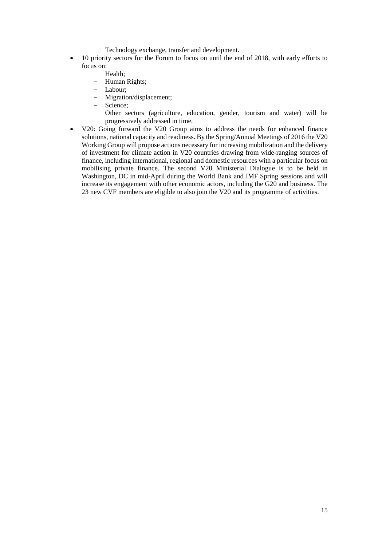- Technology exchange, transfer and development.
- 10 priority sectors for the Forum to focus on until the end of 2018, with early efforts to focus on:
	- Health;
	- Human Rights;
	- Labour;
	- Migration/displacement;
	- Science;<br>– Other se
	- Other sectors (agriculture, education, gender, tourism and water) will be progressively addressed in time.
- V20: Going forward the V20 Group aims to address the needs for enhanced finance solutions, national capacity and readiness. By the Spring/Annual Meetings of 2016 the V20 Working Group will propose actions necessary for increasing mobilization and the delivery of investment for climate action in V20 countries drawing from wide-ranging sources of finance, including international, regional and domestic resources with a particular focus on mobilising private finance. The second V20 Ministerial Dialogue is to be held in Washington, DC in mid-April during the World Bank and IMF Spring sessions and will increase its engagement with other economic actors, including the G20 and business. The 23 new CVF members are eligible to also join the V20 and its programme of activities.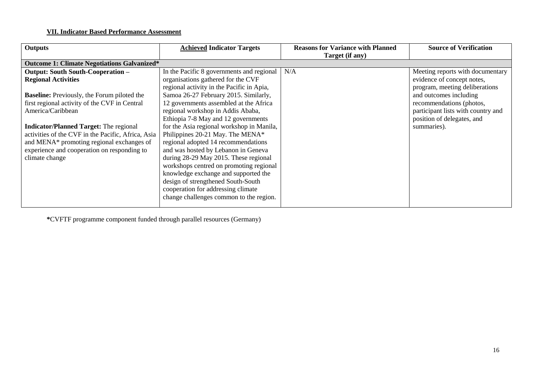# **VII. Indicator Based Performance Assessment**

| Outputs                                            | <b>Achieved Indicator Targets</b>         | <b>Reasons for Variance with Planned</b> | <b>Source of Verification</b>      |  |  |
|----------------------------------------------------|-------------------------------------------|------------------------------------------|------------------------------------|--|--|
|                                                    |                                           | Target (if any)                          |                                    |  |  |
| <b>Outcome 1: Climate Negotiations Galvanized*</b> |                                           |                                          |                                    |  |  |
| Output: South South-Cooperation -                  | In the Pacific 8 governments and regional | N/A                                      | Meeting reports with documentary   |  |  |
| <b>Regional Activities</b>                         | organisations gathered for the CVF        |                                          | evidence of concept notes,         |  |  |
|                                                    | regional activity in the Pacific in Apia, |                                          | program, meeting deliberations     |  |  |
| <b>Baseline:</b> Previously, the Forum piloted the | Samoa 26-27 February 2015. Similarly,     |                                          | and outcomes including             |  |  |
| first regional activity of the CVF in Central      | 12 governments assembled at the Africa    |                                          | recommendations (photos,           |  |  |
| America/Caribbean                                  | regional workshop in Addis Ababa,         |                                          | participant lists with country and |  |  |
|                                                    | Ethiopia 7-8 May and 12 governments       |                                          | position of delegates, and         |  |  |
| <b>Indicator/Planned Target: The regional</b>      | for the Asia regional workshop in Manila, |                                          | summaries).                        |  |  |
| activities of the CVF in the Pacific, Africa, Asia | Philippines 20-21 May. The MENA*          |                                          |                                    |  |  |
| and MENA* promoting regional exchanges of          | regional adopted 14 recommendations       |                                          |                                    |  |  |
| experience and cooperation on responding to        | and was hosted by Lebanon in Geneva       |                                          |                                    |  |  |
| climate change                                     | during 28-29 May 2015. These regional     |                                          |                                    |  |  |
|                                                    | workshops centred on promoting regional   |                                          |                                    |  |  |
|                                                    | knowledge exchange and supported the      |                                          |                                    |  |  |
|                                                    | design of strengthened South-South        |                                          |                                    |  |  |
|                                                    | cooperation for addressing climate        |                                          |                                    |  |  |
|                                                    | change challenges common to the region.   |                                          |                                    |  |  |
|                                                    |                                           |                                          |                                    |  |  |

**\***CVFTF programme component funded through parallel resources (Germany)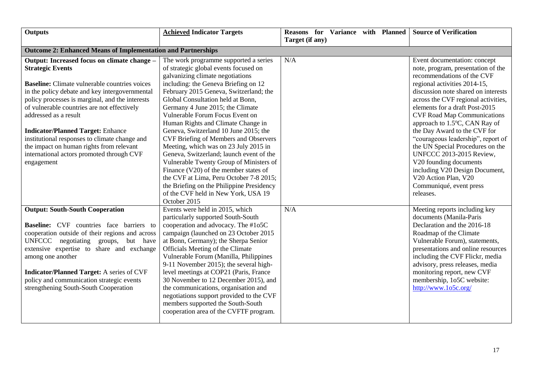| <b>Outputs</b>                                                      | <b>Achieved Indicator Targets</b>                                           | Reasons for Variance with Planned<br>Target (if any) | <b>Source of Verification</b>       |  |  |
|---------------------------------------------------------------------|-----------------------------------------------------------------------------|------------------------------------------------------|-------------------------------------|--|--|
|                                                                     |                                                                             |                                                      |                                     |  |  |
| <b>Outcome 2: Enhanced Means of Implementation and Partnerships</b> |                                                                             |                                                      |                                     |  |  |
| Output: Increased focus on climate change -                         | The work programme supported a series                                       | N/A                                                  | Event documentation: concept        |  |  |
| <b>Strategic Events</b>                                             | of strategic global events focused on                                       |                                                      | note, program, presentation of the  |  |  |
|                                                                     | galvanizing climate negotiations                                            |                                                      | recommendations of the CVF          |  |  |
| <b>Baseline:</b> Climate vulnerable countries voices                | including: the Geneva Briefing on 12                                        |                                                      | regional activities 2014-15,        |  |  |
| in the policy debate and key intergovernmental                      | February 2015 Geneva, Switzerland; the                                      |                                                      | discussion note shared on interests |  |  |
| policy processes is marginal, and the interests                     | Global Consultation held at Bonn,                                           |                                                      | across the CVF regional activities, |  |  |
| of vulnerable countries are not effectively                         | Germany 4 June 2015; the Climate                                            |                                                      | elements for a draft Post-2015      |  |  |
| addressed as a result                                               | Vulnerable Forum Focus Event on                                             |                                                      | <b>CVF Road Map Communications</b>  |  |  |
|                                                                     | Human Rights and Climate Change in                                          |                                                      | approach to 1.5°C, CAN Ray of       |  |  |
| <b>Indicator/Planned Target: Enhance</b>                            | Geneva, Switzerland 10 June 2015; the                                       |                                                      | the Day Award to the CVF for        |  |  |
| institutional responses to climate change and                       | <b>CVF Briefing of Members and Observers</b>                                |                                                      | "courageous leadership", report of  |  |  |
| the impact on human rights from relevant                            | Meeting, which was on 23 July 2015 in                                       |                                                      | the UN Special Procedures on the    |  |  |
| international actors promoted through CVF                           | Geneva, Switzerland; launch event of the                                    |                                                      | <b>UNFCCC 2013-2015 Review,</b>     |  |  |
| engagement                                                          | Vulnerable Twenty Group of Ministers of                                     |                                                      | V20 founding documents              |  |  |
|                                                                     | Finance (V20) of the member states of                                       |                                                      | including V20 Design Document,      |  |  |
|                                                                     | the CVF at Lima, Peru October 7-8 2015;                                     |                                                      | V20 Action Plan, V20                |  |  |
|                                                                     | the Briefing on the Philippine Presidency                                   |                                                      | Communiqué, event press             |  |  |
|                                                                     | of the CVF held in New York, USA 19                                         |                                                      | releases.                           |  |  |
|                                                                     | October 2015                                                                |                                                      |                                     |  |  |
| <b>Output: South-South Cooperation</b>                              | Events were held in 2015, which                                             | N/A                                                  | Meeting reports including key       |  |  |
|                                                                     | particularly supported South-South                                          |                                                      | documents (Manila-Paris             |  |  |
| Baseline: CVF countries face barriers to                            | cooperation and advocacy. The #1o5C                                         |                                                      | Declaration and the 2016-18         |  |  |
| cooperation outside of their regions and across                     | campaign (launched on 23 October 2015                                       |                                                      | Roadmap of the Climate              |  |  |
| <b>UNFCCC</b><br>negotiating<br>groups,<br>but have                 | at Bonn, Germany); the Sherpa Senior                                        |                                                      | Vulnerable Forum), statements,      |  |  |
| extensive expertise to share and exchange                           | Officials Meeting of the Climate                                            |                                                      | presentations and online resources  |  |  |
| among one another                                                   | Vulnerable Forum (Manilla, Philippines                                      |                                                      | including the CVF Flickr, media     |  |  |
|                                                                     | 9-11 November 2015); the several high-                                      |                                                      | advisory, press releases, media     |  |  |
| <b>Indicator/Planned Target: A series of CVF</b>                    | level meetings at COP21 (Paris, France                                      |                                                      | monitoring report, new CVF          |  |  |
| policy and communication strategic events                           | 30 November to 12 December 2015), and                                       |                                                      | membership, 1o5C website:           |  |  |
| strengthening South-South Cooperation                               | the communications, organisation and                                        |                                                      | http://www.1o5c.org/                |  |  |
|                                                                     | negotiations support provided to the CVF                                    |                                                      |                                     |  |  |
|                                                                     | members supported the South-South<br>cooperation area of the CVFTF program. |                                                      |                                     |  |  |
|                                                                     |                                                                             |                                                      |                                     |  |  |
|                                                                     |                                                                             |                                                      |                                     |  |  |